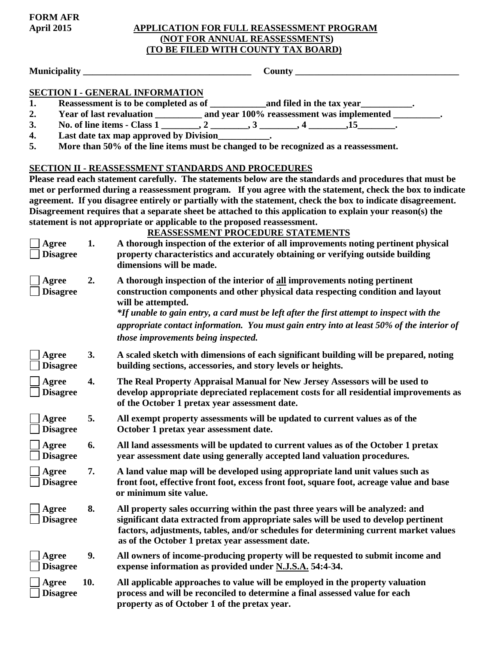# **April 2015 APPLICATION FOR FULL REASSESSMENT PROGRAM (NOT FOR ANNUAL REASSESSMENTS) (TO BE FILED WITH COUNTY TAX BOARD)**

**Municipality \_\_\_\_\_\_\_\_\_\_\_\_\_\_\_\_\_\_\_\_\_\_\_\_\_\_\_\_\_\_\_\_\_\_\_\_ County \_\_\_\_\_\_\_\_\_\_\_\_\_\_\_\_\_\_\_\_\_\_\_\_\_\_\_\_\_\_\_\_\_\_\_** 

**FORM AFR**

### **SECTION I - GENERAL INFORMATION**

- **1. Reassessment is to be completed as of \_\_\_\_\_\_\_\_\_\_\_\_and filed in the tax year\_\_\_\_\_\_\_\_\_\_\_.**
- 2. Year of last revaluation \_\_\_\_\_\_\_\_\_ and year 100% reassessment was implemented \_\_\_\_\_\_\_\_.
- 3. No. of line items Class  $\overline{1 \_2 \_3 \_2 \_3 \_3 \_4 \_3 \_4 \_3 \_1}$ ,  $\overline{4 \_3 \_1}$ ,  $\overline{15 \_3 \_3}$ .
- **4. Last date tax map approved by Division\_\_\_\_\_\_\_\_\_\_\_.**
- **5. More than 50% of the line items must be changed to be recognized as a reassessment.**

#### **SECTION II - REASSESSMENT STANDARDS AND PROCEDURES**

**Please read each statement carefully. The statements below are the standards and procedures that must be met or performed during a reassessment program. If you agree with the statement, check the box to indicate agreement. If you disagree entirely or partially with the statement, check the box to indicate disagreement. Disagreement requires that a separate sheet be attached to this application to explain your reason(s) the statement is not appropriate or applicable to the proposed reassessment.**

**REASSESSMENT PROCEDURE STATEMENTS** 

| Agree<br><b>Disagree</b> | 1.  | A thorough inspection of the exterior of all improvements noting pertinent physical<br>property characteristics and accurately obtaining or verifying outside building<br>dimensions will be made.                                                                                                                                                                            |
|--------------------------|-----|-------------------------------------------------------------------------------------------------------------------------------------------------------------------------------------------------------------------------------------------------------------------------------------------------------------------------------------------------------------------------------|
| Agree<br><b>Disagree</b> | 2.  | A thorough inspection of the interior of all improvements noting pertinent<br>construction components and other physical data respecting condition and layout<br>will be attempted.<br>*If unable to gain entry, a card must be left after the first attempt to inspect with the<br>appropriate contact information. You must gain entry into at least 50% of the interior of |
| <b>Agree</b>             | 3.  | those improvements being inspected.<br>A scaled sketch with dimensions of each significant building will be prepared, noting                                                                                                                                                                                                                                                  |
| <b>Disagree</b>          |     | building sections, accessories, and story levels or heights.                                                                                                                                                                                                                                                                                                                  |
| Agree<br><b>Disagree</b> | 4.  | The Real Property Appraisal Manual for New Jersey Assessors will be used to<br>develop appropriate depreciated replacement costs for all residential improvements as<br>of the October 1 pretax year assessment date.                                                                                                                                                         |
| Agree<br><b>Disagree</b> | 5.  | All exempt property assessments will be updated to current values as of the<br>October 1 pretax year assessment date.                                                                                                                                                                                                                                                         |
| Agree<br><b>Disagree</b> | 6.  | All land assessments will be updated to current values as of the October 1 pretax<br>year assessment date using generally accepted land valuation procedures.                                                                                                                                                                                                                 |
| Agree<br><b>Disagree</b> | 7.  | A land value map will be developed using appropriate land unit values such as<br>front foot, effective front foot, excess front foot, square foot, acreage value and base<br>or minimum site value.                                                                                                                                                                           |
| Agree<br><b>Disagree</b> | 8.  | All property sales occurring within the past three years will be analyzed: and<br>significant data extracted from appropriate sales will be used to develop pertinent<br>factors, adjustments, tables, and/or schedules for determining current market values<br>as of the October 1 pretax year assessment date.                                                             |
| Agree<br><b>Disagree</b> | 9.  | All owners of income-producing property will be requested to submit income and<br>expense information as provided under N.J.S.A. 54:4-34.                                                                                                                                                                                                                                     |
| Agree<br><b>Disagree</b> | 10. | All applicable approaches to value will be employed in the property valuation<br>process and will be reconciled to determine a final assessed value for each<br>property as of October 1 of the pretax year.                                                                                                                                                                  |